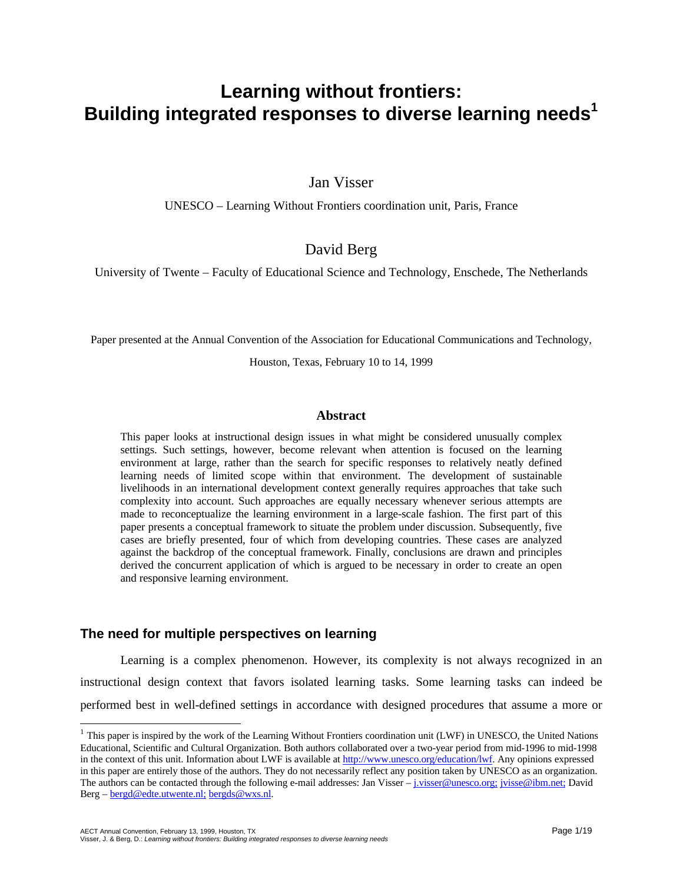# **Learning without frontiers: Building integrated responses to diverse learning needs<sup>1</sup>**

Jan Visser

UNESCO – Learning Without Frontiers coordination unit, Paris, France

# David Berg

University of Twente – Faculty of Educational Science and Technology, Enschede, The Netherlands

Paper presented at the Annual Convention of the Association for Educational Communications and Technology,

Houston, Texas, February 10 to 14, 1999

#### **Abstract**

This paper looks at instructional design issues in what might be considered unusually complex settings. Such settings, however, become relevant when attention is focused on the learning environment at large, rather than the search for specific responses to relatively neatly defined learning needs of limited scope within that environment. The development of sustainable livelihoods in an international development context generally requires approaches that take such complexity into account. Such approaches are equally necessary whenever serious attempts are made to reconceptualize the learning environment in a large-scale fashion. The first part of this paper presents a conceptual framework to situate the problem under discussion. Subsequently, five cases are briefly presented, four of which from developing countries. These cases are analyzed against the backdrop of the conceptual framework. Finally, conclusions are drawn and principles derived the concurrent application of which is argued to be necessary in order to create an open and responsive learning environment.

# **The need for multiple perspectives on learning**

 $\overline{a}$ 

Learning is a complex phenomenon. However, its complexity is not always recognized in an instructional design context that favors isolated learning tasks. Some learning tasks can indeed be performed best in well-defined settings in accordance with designed procedures that assume a more or

 $1$  This paper is inspired by the work of the Learning Without Frontiers coordination unit (LWF) in UNESCO, the United Nations Educational, Scientific and Cultural Organization. Both authors collaborated over a two-year period from mid-1996 to mid-1998 in the context of this unit. Information about LWF is available at http://www.unesco.org/education/lwf. Any opinions expressed in this paper are entirely those of the authors. They do not necessarily reflect any position taken by UNESCO as an organization. The authors can be contacted through the following e-mail addresses: Jan Visser – j.visser@unesco.org; jvisse@ibm.net; David Berg – bergd@edte.utwente.nl; bergds@wxs.nl.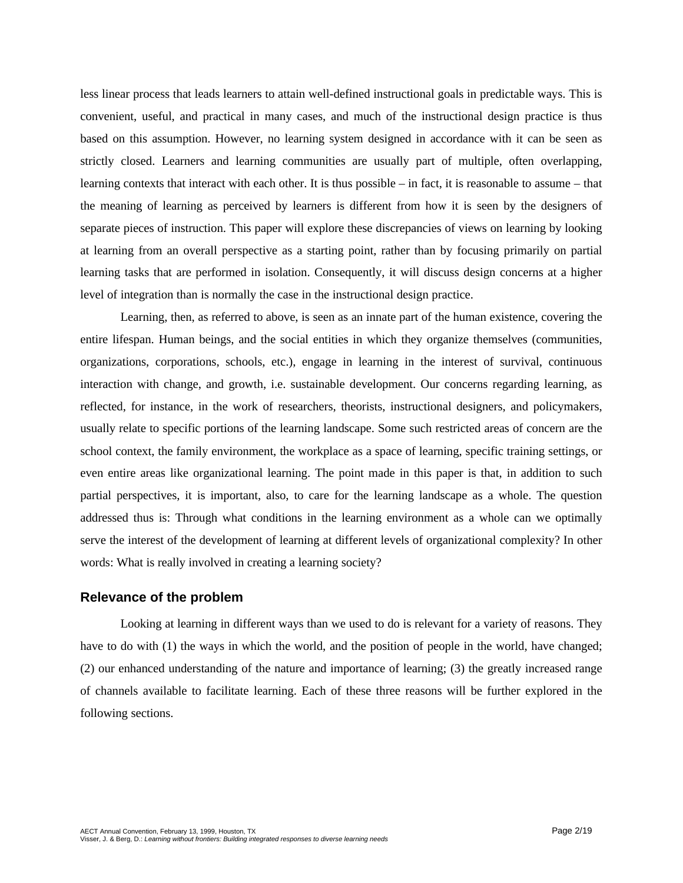less linear process that leads learners to attain well-defined instructional goals in predictable ways. This is convenient, useful, and practical in many cases, and much of the instructional design practice is thus based on this assumption. However, no learning system designed in accordance with it can be seen as strictly closed. Learners and learning communities are usually part of multiple, often overlapping, learning contexts that interact with each other. It is thus possible – in fact, it is reasonable to assume – that the meaning of learning as perceived by learners is different from how it is seen by the designers of separate pieces of instruction. This paper will explore these discrepancies of views on learning by looking at learning from an overall perspective as a starting point, rather than by focusing primarily on partial learning tasks that are performed in isolation. Consequently, it will discuss design concerns at a higher level of integration than is normally the case in the instructional design practice.

Learning, then, as referred to above, is seen as an innate part of the human existence, covering the entire lifespan. Human beings, and the social entities in which they organize themselves (communities, organizations, corporations, schools, etc.), engage in learning in the interest of survival, continuous interaction with change, and growth, i.e. sustainable development. Our concerns regarding learning, as reflected, for instance, in the work of researchers, theorists, instructional designers, and policymakers, usually relate to specific portions of the learning landscape. Some such restricted areas of concern are the school context, the family environment, the workplace as a space of learning, specific training settings, or even entire areas like organizational learning. The point made in this paper is that, in addition to such partial perspectives, it is important, also, to care for the learning landscape as a whole. The question addressed thus is: Through what conditions in the learning environment as a whole can we optimally serve the interest of the development of learning at different levels of organizational complexity? In other words: What is really involved in creating a learning society?

# **Relevance of the problem**

Looking at learning in different ways than we used to do is relevant for a variety of reasons. They have to do with (1) the ways in which the world, and the position of people in the world, have changed; (2) our enhanced understanding of the nature and importance of learning; (3) the greatly increased range of channels available to facilitate learning. Each of these three reasons will be further explored in the following sections.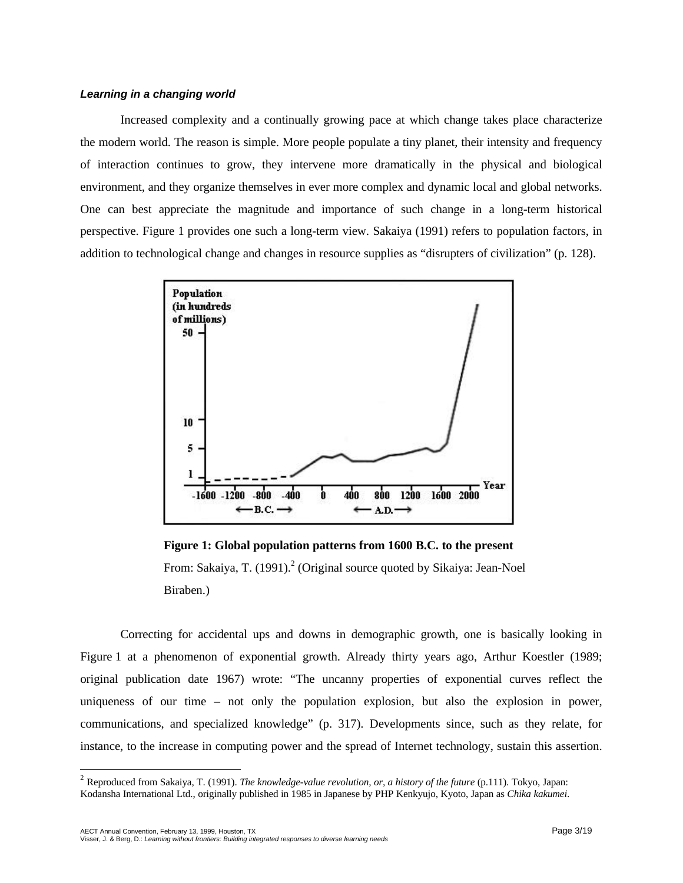#### *Learning in a changing world*

Increased complexity and a continually growing pace at which change takes place characterize the modern world. The reason is simple. More people populate a tiny planet, their intensity and frequency of interaction continues to grow, they intervene more dramatically in the physical and biological environment, and they organize themselves in ever more complex and dynamic local and global networks. One can best appreciate the magnitude and importance of such change in a long-term historical perspective. Figure 1 provides one such a long-term view. Sakaiya (1991) refers to population factors, in addition to technological change and changes in resource supplies as "disrupters of civilization" (p. 128).



**Figure 1: Global population patterns from 1600 B.C. to the present** From: Sakaiya, T. (1991).<sup>2</sup> (Original source quoted by Sikaiya: Jean-Noel Biraben.)

Correcting for accidental ups and downs in demographic growth, one is basically looking in Figure 1 at a phenomenon of exponential growth. Already thirty years ago, Arthur Koestler (1989; original publication date 1967) wrote: "The uncanny properties of exponential curves reflect the uniqueness of our time – not only the population explosion, but also the explosion in power, communications, and specialized knowledge" (p. 317). Developments since, such as they relate, for instance, to the increase in computing power and the spread of Internet technology, sustain this assertion.

<sup>2</sup> Reproduced from Sakaiya, T. (1991). *The knowledge-value revolution, or, a history of the future* (p.111). Tokyo, Japan: Kodansha International Ltd., originally published in 1985 in Japanese by PHP Kenkyujo, Kyoto, Japan as *Chika kakumei*.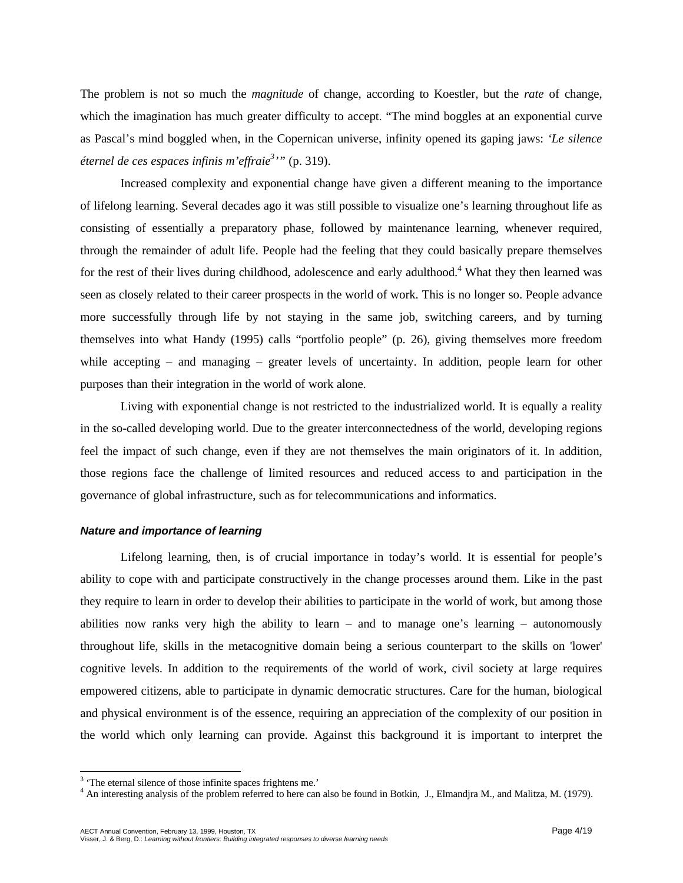The problem is not so much the *magnitude* of change, according to Koestler, but the *rate* of change, which the imagination has much greater difficulty to accept. "The mind boggles at an exponential curve as Pascal's mind boggled when, in the Copernican universe, infinity opened its gaping jaws: *'Le silence éternel de ces espaces infinis m'effraie<sup>3</sup> '"* (p. 319).

Increased complexity and exponential change have given a different meaning to the importance of lifelong learning. Several decades ago it was still possible to visualize one's learning throughout life as consisting of essentially a preparatory phase, followed by maintenance learning, whenever required, through the remainder of adult life. People had the feeling that they could basically prepare themselves for the rest of their lives during childhood, adolescence and early adulthood.<sup>4</sup> What they then learned was seen as closely related to their career prospects in the world of work. This is no longer so. People advance more successfully through life by not staying in the same job, switching careers, and by turning themselves into what Handy (1995) calls "portfolio people" (p. 26), giving themselves more freedom while accepting – and managing – greater levels of uncertainty. In addition, people learn for other purposes than their integration in the world of work alone.

Living with exponential change is not restricted to the industrialized world. It is equally a reality in the so-called developing world. Due to the greater interconnectedness of the world, developing regions feel the impact of such change, even if they are not themselves the main originators of it. In addition, those regions face the challenge of limited resources and reduced access to and participation in the governance of global infrastructure, such as for telecommunications and informatics.

#### *Nature and importance of learning*

Lifelong learning, then, is of crucial importance in today's world. It is essential for people's ability to cope with and participate constructively in the change processes around them. Like in the past they require to learn in order to develop their abilities to participate in the world of work, but among those abilities now ranks very high the ability to learn – and to manage one's learning – autonomously throughout life, skills in the metacognitive domain being a serious counterpart to the skills on 'lower' cognitive levels. In addition to the requirements of the world of work, civil society at large requires empowered citizens, able to participate in dynamic democratic structures. Care for the human, biological and physical environment is of the essence, requiring an appreciation of the complexity of our position in the world which only learning can provide. Against this background it is important to interpret the

<sup>&</sup>lt;sup>3</sup> 'The eternal silence of those infinite spaces frightens me.'

<sup>&</sup>lt;sup>4</sup> An interesting analysis of the problem referred to here can also be found in Botkin, J., Elmandjra M., and Malitza, M. (1979).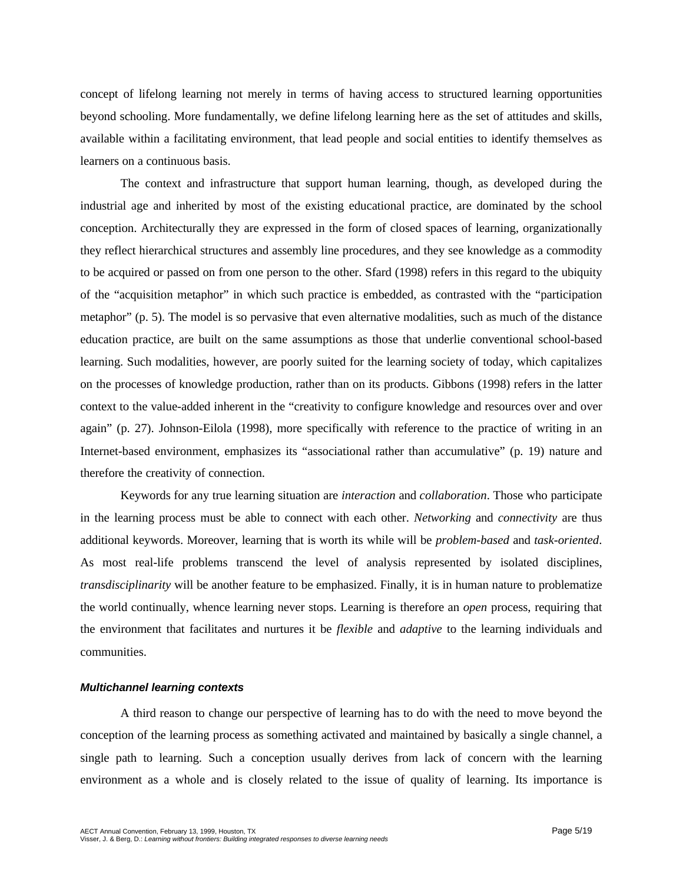concept of lifelong learning not merely in terms of having access to structured learning opportunities beyond schooling. More fundamentally, we define lifelong learning here as the set of attitudes and skills, available within a facilitating environment, that lead people and social entities to identify themselves as learners on a continuous basis.

The context and infrastructure that support human learning, though, as developed during the industrial age and inherited by most of the existing educational practice, are dominated by the school conception. Architecturally they are expressed in the form of closed spaces of learning, organizationally they reflect hierarchical structures and assembly line procedures, and they see knowledge as a commodity to be acquired or passed on from one person to the other. Sfard (1998) refers in this regard to the ubiquity of the "acquisition metaphor" in which such practice is embedded, as contrasted with the "participation metaphor" (p. 5). The model is so pervasive that even alternative modalities, such as much of the distance education practice, are built on the same assumptions as those that underlie conventional school-based learning. Such modalities, however, are poorly suited for the learning society of today, which capitalizes on the processes of knowledge production, rather than on its products. Gibbons (1998) refers in the latter context to the value-added inherent in the "creativity to configure knowledge and resources over and over again" (p. 27). Johnson-Eilola (1998), more specifically with reference to the practice of writing in an Internet-based environment, emphasizes its "associational rather than accumulative" (p. 19) nature and therefore the creativity of connection.

Keywords for any true learning situation are *interaction* and *collaboration*. Those who participate in the learning process must be able to connect with each other. *Networking* and *connectivity* are thus additional keywords. Moreover, learning that is worth its while will be *problem-based* and *task-oriented*. As most real-life problems transcend the level of analysis represented by isolated disciplines, *transdisciplinarity* will be another feature to be emphasized. Finally, it is in human nature to problematize the world continually, whence learning never stops. Learning is therefore an *open* process, requiring that the environment that facilitates and nurtures it be *flexible* and *adaptive* to the learning individuals and communities.

#### *Multichannel learning contexts*

A third reason to change our perspective of learning has to do with the need to move beyond the conception of the learning process as something activated and maintained by basically a single channel, a single path to learning. Such a conception usually derives from lack of concern with the learning environment as a whole and is closely related to the issue of quality of learning. Its importance is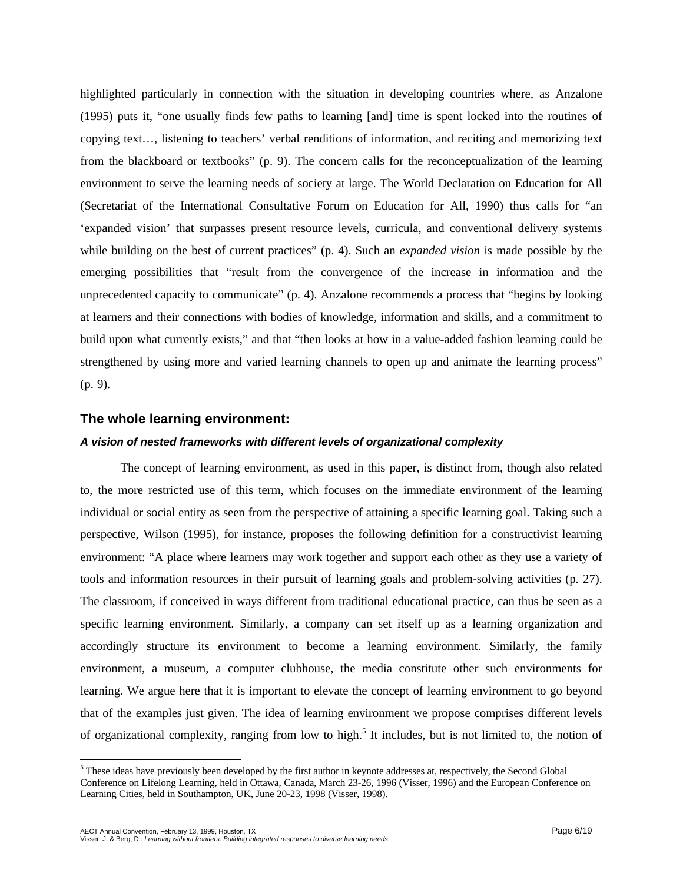highlighted particularly in connection with the situation in developing countries where, as Anzalone (1995) puts it, "one usually finds few paths to learning [and] time is spent locked into the routines of copying text…, listening to teachers' verbal renditions of information, and reciting and memorizing text from the blackboard or textbooks" (p. 9). The concern calls for the reconceptualization of the learning environment to serve the learning needs of society at large. The World Declaration on Education for All (Secretariat of the International Consultative Forum on Education for All, 1990) thus calls for "an 'expanded vision' that surpasses present resource levels, curricula, and conventional delivery systems while building on the best of current practices" (p. 4). Such an *expanded vision* is made possible by the emerging possibilities that "result from the convergence of the increase in information and the unprecedented capacity to communicate" (p. 4). Anzalone recommends a process that "begins by looking at learners and their connections with bodies of knowledge, information and skills, and a commitment to build upon what currently exists," and that "then looks at how in a value-added fashion learning could be strengthened by using more and varied learning channels to open up and animate the learning process" (p. 9).

# **The whole learning environment:**

#### *A vision of nested frameworks with different levels of organizational complexity*

The concept of learning environment, as used in this paper, is distinct from, though also related to, the more restricted use of this term, which focuses on the immediate environment of the learning individual or social entity as seen from the perspective of attaining a specific learning goal. Taking such a perspective, Wilson (1995), for instance, proposes the following definition for a constructivist learning environment: "A place where learners may work together and support each other as they use a variety of tools and information resources in their pursuit of learning goals and problem-solving activities (p. 27). The classroom, if conceived in ways different from traditional educational practice, can thus be seen as a specific learning environment. Similarly, a company can set itself up as a learning organization and accordingly structure its environment to become a learning environment. Similarly, the family environment, a museum, a computer clubhouse, the media constitute other such environments for learning. We argue here that it is important to elevate the concept of learning environment to go beyond that of the examples just given. The idea of learning environment we propose comprises different levels of organizational complexity, ranging from low to high.<sup>5</sup> It includes, but is not limited to, the notion of

<sup>&</sup>lt;sup>5</sup> These ideas have previously been developed by the first author in keynote addresses at, respectively, the Second Global Conference on Lifelong Learning, held in Ottawa, Canada, March 23-26, 1996 (Visser, 1996) and the European Conference on Learning Cities, held in Southampton, UK, June 20-23, 1998 (Visser, 1998).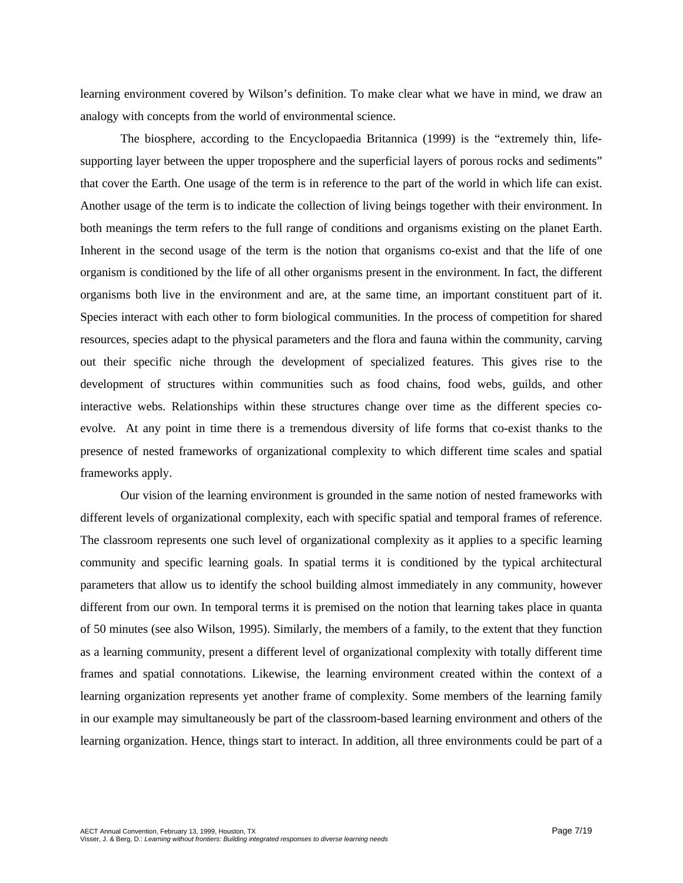learning environment covered by Wilson's definition. To make clear what we have in mind, we draw an analogy with concepts from the world of environmental science.

The biosphere, according to the Encyclopaedia Britannica (1999) is the "extremely thin, lifesupporting layer between the upper troposphere and the superficial layers of porous rocks and sediments" that cover the Earth. One usage of the term is in reference to the part of the world in which life can exist. Another usage of the term is to indicate the collection of living beings together with their environment. In both meanings the term refers to the full range of conditions and organisms existing on the planet Earth. Inherent in the second usage of the term is the notion that organisms co-exist and that the life of one organism is conditioned by the life of all other organisms present in the environment. In fact, the different organisms both live in the environment and are, at the same time, an important constituent part of it. Species interact with each other to form biological communities. In the process of competition for shared resources, species adapt to the physical parameters and the flora and fauna within the community, carving out their specific niche through the development of specialized features. This gives rise to the development of structures within communities such as food chains, food webs, guilds, and other interactive webs. Relationships within these structures change over time as the different species coevolve. At any point in time there is a tremendous diversity of life forms that co-exist thanks to the presence of nested frameworks of organizational complexity to which different time scales and spatial frameworks apply.

Our vision of the learning environment is grounded in the same notion of nested frameworks with different levels of organizational complexity, each with specific spatial and temporal frames of reference. The classroom represents one such level of organizational complexity as it applies to a specific learning community and specific learning goals. In spatial terms it is conditioned by the typical architectural parameters that allow us to identify the school building almost immediately in any community, however different from our own. In temporal terms it is premised on the notion that learning takes place in quanta of 50 minutes (see also Wilson, 1995). Similarly, the members of a family, to the extent that they function as a learning community, present a different level of organizational complexity with totally different time frames and spatial connotations. Likewise, the learning environment created within the context of a learning organization represents yet another frame of complexity. Some members of the learning family in our example may simultaneously be part of the classroom-based learning environment and others of the learning organization. Hence, things start to interact. In addition, all three environments could be part of a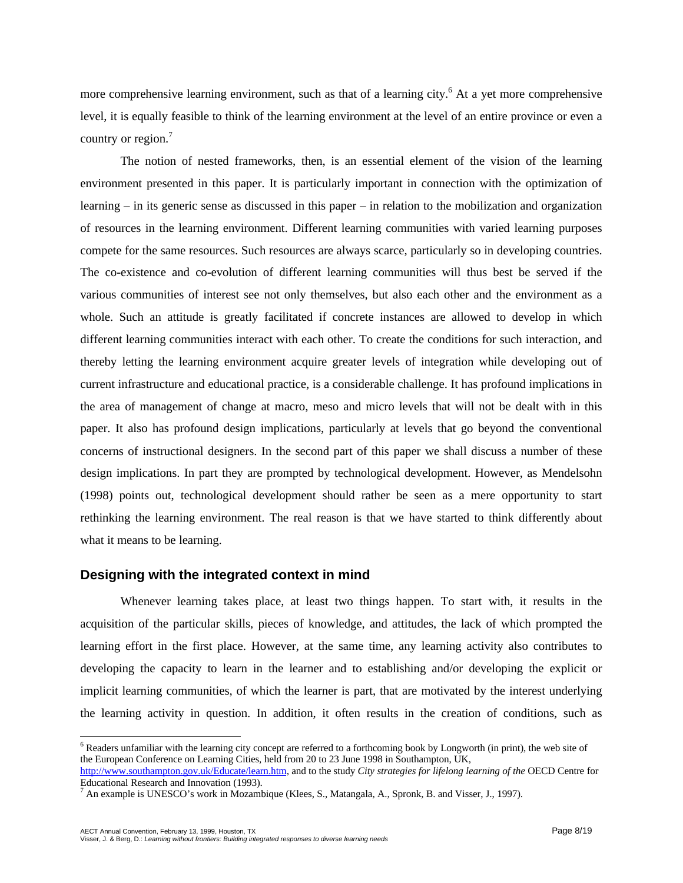more comprehensive learning environment, such as that of a learning city.<sup>6</sup> At a yet more comprehensive level, it is equally feasible to think of the learning environment at the level of an entire province or even a country or region.<sup>7</sup>

The notion of nested frameworks, then, is an essential element of the vision of the learning environment presented in this paper. It is particularly important in connection with the optimization of learning – in its generic sense as discussed in this paper – in relation to the mobilization and organization of resources in the learning environment. Different learning communities with varied learning purposes compete for the same resources. Such resources are always scarce, particularly so in developing countries. The co-existence and co-evolution of different learning communities will thus best be served if the various communities of interest see not only themselves, but also each other and the environment as a whole. Such an attitude is greatly facilitated if concrete instances are allowed to develop in which different learning communities interact with each other. To create the conditions for such interaction, and thereby letting the learning environment acquire greater levels of integration while developing out of current infrastructure and educational practice, is a considerable challenge. It has profound implications in the area of management of change at macro, meso and micro levels that will not be dealt with in this paper. It also has profound design implications, particularly at levels that go beyond the conventional concerns of instructional designers. In the second part of this paper we shall discuss a number of these design implications. In part they are prompted by technological development. However, as Mendelsohn (1998) points out, technological development should rather be seen as a mere opportunity to start rethinking the learning environment. The real reason is that we have started to think differently about what it means to be learning.

#### **Designing with the integrated context in mind**

Whenever learning takes place, at least two things happen. To start with, it results in the acquisition of the particular skills, pieces of knowledge, and attitudes, the lack of which prompted the learning effort in the first place. However, at the same time, any learning activity also contributes to developing the capacity to learn in the learner and to establishing and/or developing the explicit or implicit learning communities, of which the learner is part, that are motivated by the interest underlying the learning activity in question. In addition, it often results in the creation of conditions, such as

 $6$  Readers unfamiliar with the learning city concept are referred to a forthcoming book by Longworth (in print), the web site of the European Conference on Learning Cities, held from 20 to 23 June 1998 in Southampton, UK,

http://www.southampton.gov.uk/Educate/learn.htm, and to the study *City strategies for lifelong learning of the* OECD Centre for Educational Research and Innovation (1993).

 $^7$  An example is UNESCO's work in Mozambique (Klees, S., Matangala, A., Spronk, B. and Visser, J., 1997).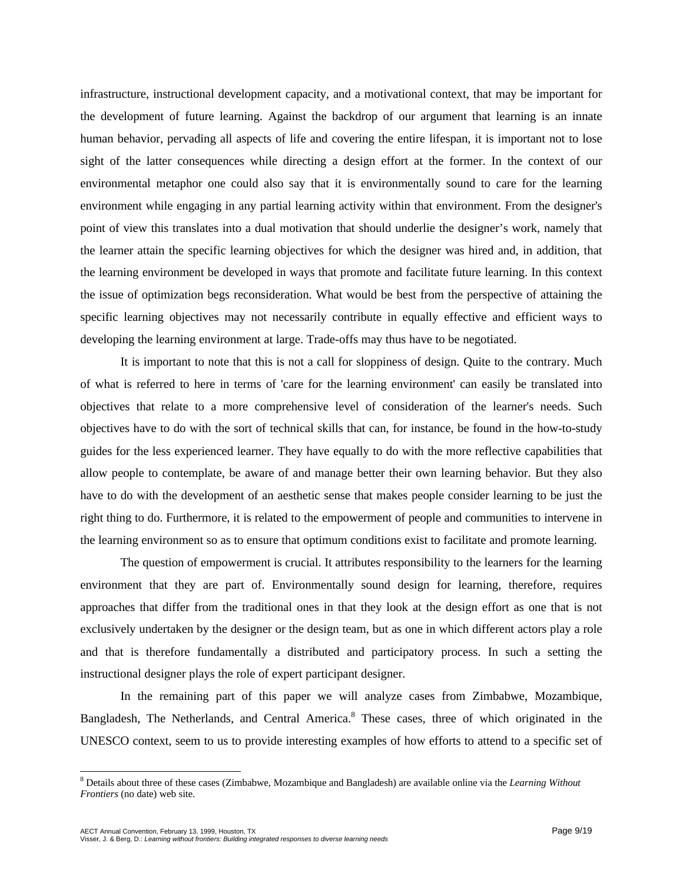infrastructure, instructional development capacity, and a motivational context, that may be important for the development of future learning. Against the backdrop of our argument that learning is an innate human behavior, pervading all aspects of life and covering the entire lifespan, it is important not to lose sight of the latter consequences while directing a design effort at the former. In the context of our environmental metaphor one could also say that it is environmentally sound to care for the learning environment while engaging in any partial learning activity within that environment. From the designer's point of view this translates into a dual motivation that should underlie the designer's work, namely that the learner attain the specific learning objectives for which the designer was hired and, in addition, that the learning environment be developed in ways that promote and facilitate future learning. In this context the issue of optimization begs reconsideration. What would be best from the perspective of attaining the specific learning objectives may not necessarily contribute in equally effective and efficient ways to developing the learning environment at large. Trade-offs may thus have to be negotiated.

It is important to note that this is not a call for sloppiness of design. Quite to the contrary. Much of what is referred to here in terms of 'care for the learning environment' can easily be translated into objectives that relate to a more comprehensive level of consideration of the learner's needs. Such objectives have to do with the sort of technical skills that can, for instance, be found in the how-to-study guides for the less experienced learner. They have equally to do with the more reflective capabilities that allow people to contemplate, be aware of and manage better their own learning behavior. But they also have to do with the development of an aesthetic sense that makes people consider learning to be just the right thing to do. Furthermore, it is related to the empowerment of people and communities to intervene in the learning environment so as to ensure that optimum conditions exist to facilitate and promote learning.

The question of empowerment is crucial. It attributes responsibility to the learners for the learning environment that they are part of. Environmentally sound design for learning, therefore, requires approaches that differ from the traditional ones in that they look at the design effort as one that is not exclusively undertaken by the designer or the design team, but as one in which different actors play a role and that is therefore fundamentally a distributed and participatory process. In such a setting the instructional designer plays the role of expert participant designer.

In the remaining part of this paper we will analyze cases from Zimbabwe, Mozambique, Bangladesh, The Netherlands, and Central America.<sup>8</sup> These cases, three of which originated in the UNESCO context, seem to us to provide interesting examples of how efforts to attend to a specific set of

<sup>8</sup> Details about three of these cases (Zimbabwe, Mozambique and Bangladesh) are available online via the *Learning Without Frontiers* (no date) web site.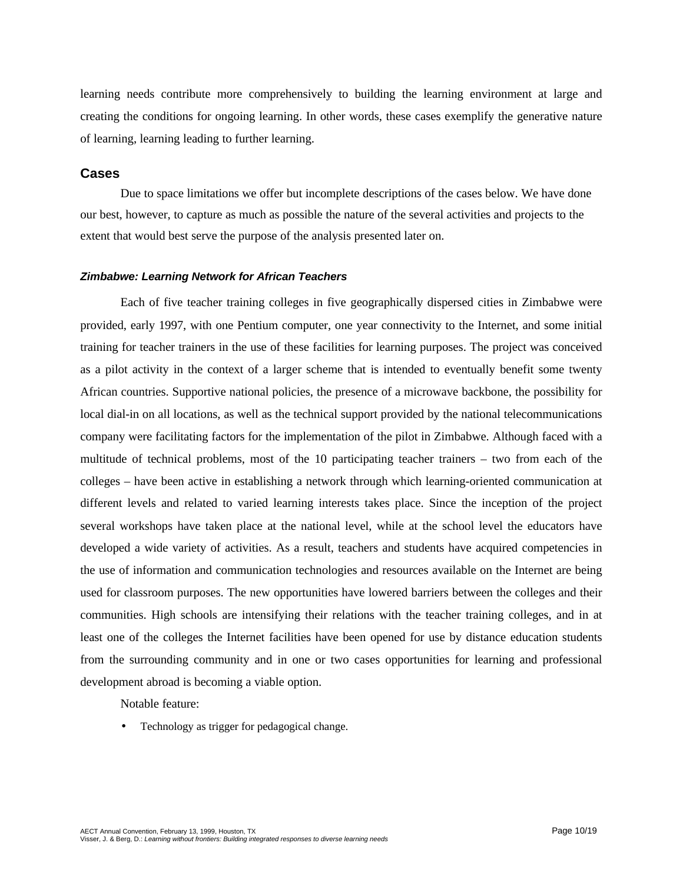learning needs contribute more comprehensively to building the learning environment at large and creating the conditions for ongoing learning. In other words, these cases exemplify the generative nature of learning, learning leading to further learning.

# **Cases**

Due to space limitations we offer but incomplete descriptions of the cases below. We have done our best, however, to capture as much as possible the nature of the several activities and projects to the extent that would best serve the purpose of the analysis presented later on.

#### *Zimbabwe: Learning Network for African Teachers*

Each of five teacher training colleges in five geographically dispersed cities in Zimbabwe were provided, early 1997, with one Pentium computer, one year connectivity to the Internet, and some initial training for teacher trainers in the use of these facilities for learning purposes. The project was conceived as a pilot activity in the context of a larger scheme that is intended to eventually benefit some twenty African countries. Supportive national policies, the presence of a microwave backbone, the possibility for local dial-in on all locations, as well as the technical support provided by the national telecommunications company were facilitating factors for the implementation of the pilot in Zimbabwe. Although faced with a multitude of technical problems, most of the 10 participating teacher trainers – two from each of the colleges – have been active in establishing a network through which learning-oriented communication at different levels and related to varied learning interests takes place. Since the inception of the project several workshops have taken place at the national level, while at the school level the educators have developed a wide variety of activities. As a result, teachers and students have acquired competencies in the use of information and communication technologies and resources available on the Internet are being used for classroom purposes. The new opportunities have lowered barriers between the colleges and their communities. High schools are intensifying their relations with the teacher training colleges, and in at least one of the colleges the Internet facilities have been opened for use by distance education students from the surrounding community and in one or two cases opportunities for learning and professional development abroad is becoming a viable option.

Notable feature:

• Technology as trigger for pedagogical change.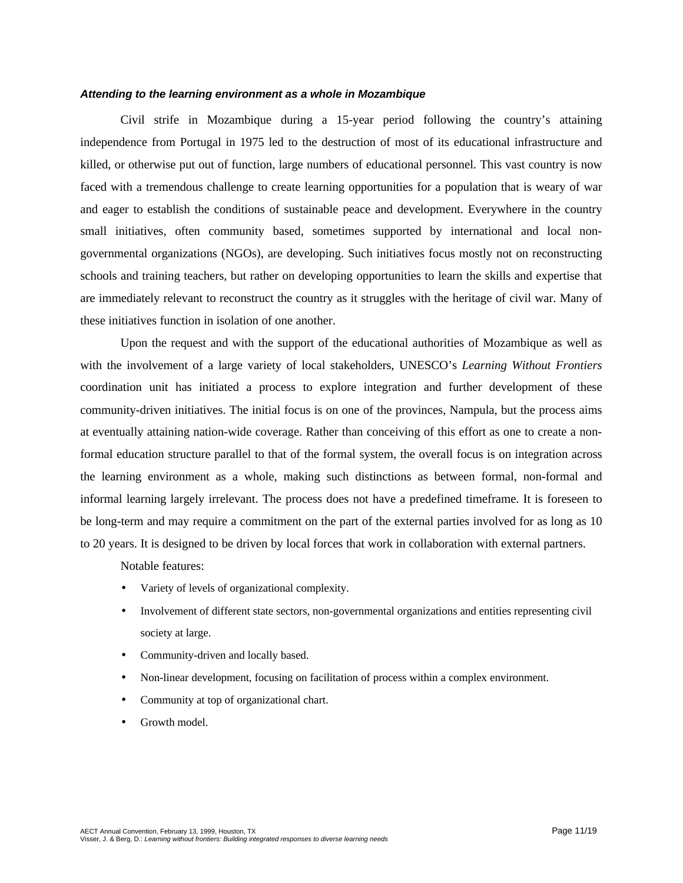#### *Attending to the learning environment as a whole in Mozambique*

Civil strife in Mozambique during a 15-year period following the country's attaining independence from Portugal in 1975 led to the destruction of most of its educational infrastructure and killed, or otherwise put out of function, large numbers of educational personnel. This vast country is now faced with a tremendous challenge to create learning opportunities for a population that is weary of war and eager to establish the conditions of sustainable peace and development. Everywhere in the country small initiatives, often community based, sometimes supported by international and local nongovernmental organizations (NGOs), are developing. Such initiatives focus mostly not on reconstructing schools and training teachers, but rather on developing opportunities to learn the skills and expertise that are immediately relevant to reconstruct the country as it struggles with the heritage of civil war. Many of these initiatives function in isolation of one another.

Upon the request and with the support of the educational authorities of Mozambique as well as with the involvement of a large variety of local stakeholders, UNESCO's *Learning Without Frontiers* coordination unit has initiated a process to explore integration and further development of these community-driven initiatives. The initial focus is on one of the provinces, Nampula, but the process aims at eventually attaining nation-wide coverage. Rather than conceiving of this effort as one to create a nonformal education structure parallel to that of the formal system, the overall focus is on integration across the learning environment as a whole, making such distinctions as between formal, non-formal and informal learning largely irrelevant. The process does not have a predefined timeframe. It is foreseen to be long-term and may require a commitment on the part of the external parties involved for as long as 10 to 20 years. It is designed to be driven by local forces that work in collaboration with external partners.

Notable features:

- Variety of levels of organizational complexity.
- Involvement of different state sectors, non-governmental organizations and entities representing civil society at large.
- Community-driven and locally based.
- Non-linear development, focusing on facilitation of process within a complex environment.
- Community at top of organizational chart.
- Growth model.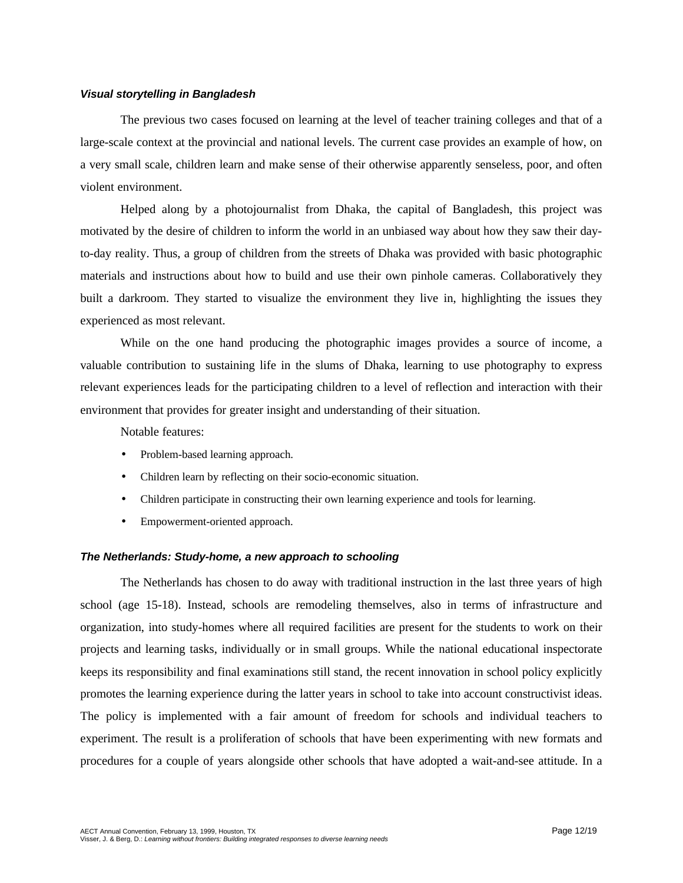#### *Visual storytelling in Bangladesh*

The previous two cases focused on learning at the level of teacher training colleges and that of a large-scale context at the provincial and national levels. The current case provides an example of how, on a very small scale, children learn and make sense of their otherwise apparently senseless, poor, and often violent environment.

Helped along by a photojournalist from Dhaka, the capital of Bangladesh, this project was motivated by the desire of children to inform the world in an unbiased way about how they saw their dayto-day reality. Thus, a group of children from the streets of Dhaka was provided with basic photographic materials and instructions about how to build and use their own pinhole cameras. Collaboratively they built a darkroom. They started to visualize the environment they live in, highlighting the issues they experienced as most relevant.

While on the one hand producing the photographic images provides a source of income, a valuable contribution to sustaining life in the slums of Dhaka, learning to use photography to express relevant experiences leads for the participating children to a level of reflection and interaction with their environment that provides for greater insight and understanding of their situation.

Notable features:

- Problem-based learning approach.
- Children learn by reflecting on their socio-economic situation.
- Children participate in constructing their own learning experience and tools for learning.
- Empowerment-oriented approach.

#### *The Netherlands: Study-home, a new approach to schooling*

The Netherlands has chosen to do away with traditional instruction in the last three years of high school (age 15-18). Instead, schools are remodeling themselves, also in terms of infrastructure and organization, into study-homes where all required facilities are present for the students to work on their projects and learning tasks, individually or in small groups. While the national educational inspectorate keeps its responsibility and final examinations still stand, the recent innovation in school policy explicitly promotes the learning experience during the latter years in school to take into account constructivist ideas. The policy is implemented with a fair amount of freedom for schools and individual teachers to experiment. The result is a proliferation of schools that have been experimenting with new formats and procedures for a couple of years alongside other schools that have adopted a wait-and-see attitude. In a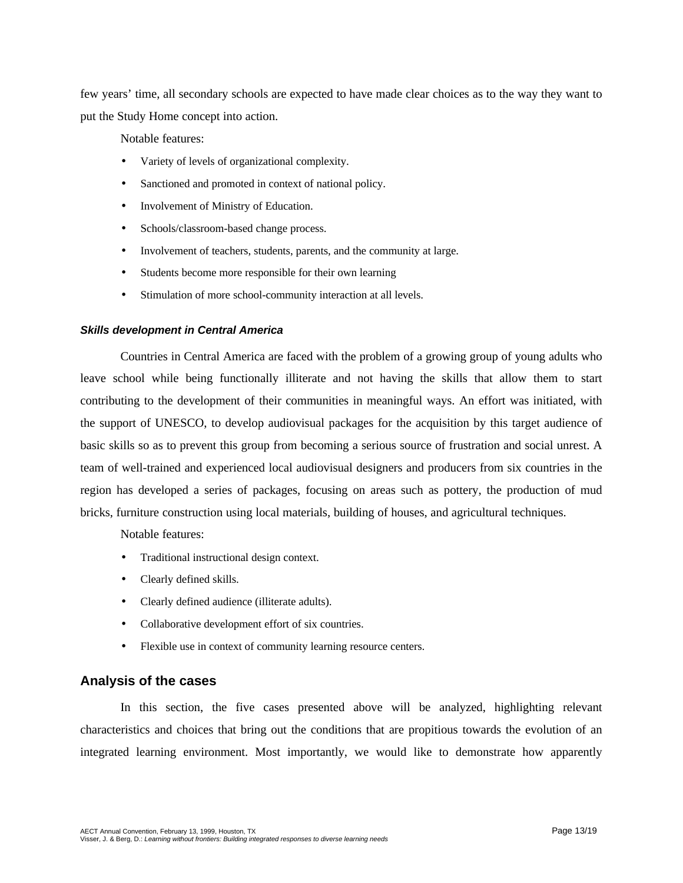few years' time, all secondary schools are expected to have made clear choices as to the way they want to put the Study Home concept into action.

Notable features:

- Variety of levels of organizational complexity.
- Sanctioned and promoted in context of national policy.
- Involvement of Ministry of Education.
- Schools/classroom-based change process.
- Involvement of teachers, students, parents, and the community at large.
- Students become more responsible for their own learning
- Stimulation of more school-community interaction at all levels.

#### *Skills development in Central America*

Countries in Central America are faced with the problem of a growing group of young adults who leave school while being functionally illiterate and not having the skills that allow them to start contributing to the development of their communities in meaningful ways. An effort was initiated, with the support of UNESCO, to develop audiovisual packages for the acquisition by this target audience of basic skills so as to prevent this group from becoming a serious source of frustration and social unrest. A team of well-trained and experienced local audiovisual designers and producers from six countries in the region has developed a series of packages, focusing on areas such as pottery, the production of mud bricks, furniture construction using local materials, building of houses, and agricultural techniques.

Notable features:

- Traditional instructional design context.
- Clearly defined skills.
- Clearly defined audience (illiterate adults).
- Collaborative development effort of six countries.
- Flexible use in context of community learning resource centers.

# **Analysis of the cases**

In this section, the five cases presented above will be analyzed, highlighting relevant characteristics and choices that bring out the conditions that are propitious towards the evolution of an integrated learning environment. Most importantly, we would like to demonstrate how apparently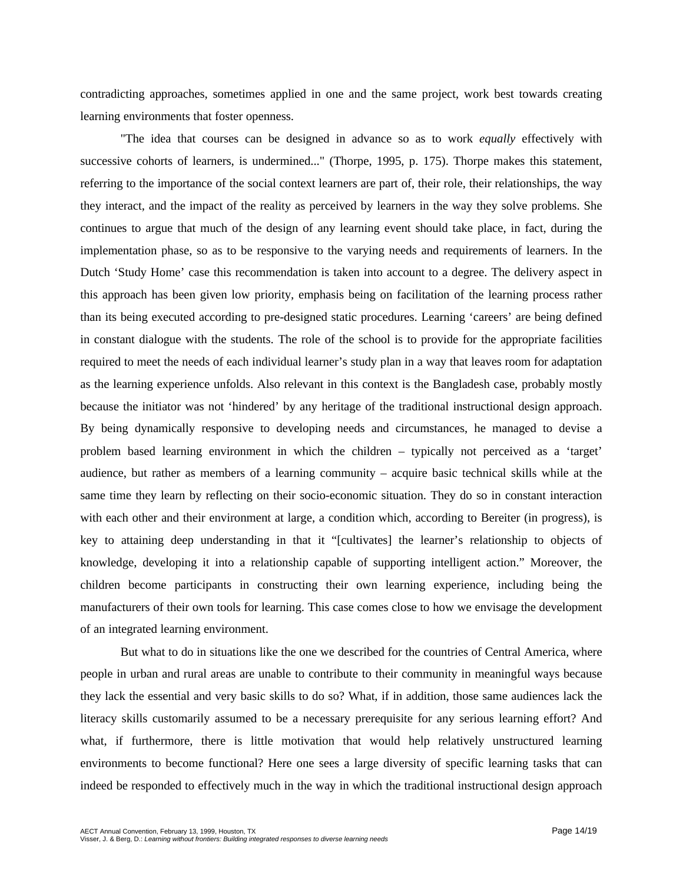contradicting approaches, sometimes applied in one and the same project, work best towards creating learning environments that foster openness.

"The idea that courses can be designed in advance so as to work *equally* effectively with successive cohorts of learners, is undermined..." (Thorpe, 1995, p. 175). Thorpe makes this statement, referring to the importance of the social context learners are part of, their role, their relationships, the way they interact, and the impact of the reality as perceived by learners in the way they solve problems. She continues to argue that much of the design of any learning event should take place, in fact, during the implementation phase, so as to be responsive to the varying needs and requirements of learners. In the Dutch 'Study Home' case this recommendation is taken into account to a degree. The delivery aspect in this approach has been given low priority, emphasis being on facilitation of the learning process rather than its being executed according to pre-designed static procedures. Learning 'careers' are being defined in constant dialogue with the students. The role of the school is to provide for the appropriate facilities required to meet the needs of each individual learner's study plan in a way that leaves room for adaptation as the learning experience unfolds. Also relevant in this context is the Bangladesh case, probably mostly because the initiator was not 'hindered' by any heritage of the traditional instructional design approach. By being dynamically responsive to developing needs and circumstances, he managed to devise a problem based learning environment in which the children – typically not perceived as a 'target' audience, but rather as members of a learning community – acquire basic technical skills while at the same time they learn by reflecting on their socio-economic situation. They do so in constant interaction with each other and their environment at large, a condition which, according to Bereiter (in progress), is key to attaining deep understanding in that it "[cultivates] the learner's relationship to objects of knowledge, developing it into a relationship capable of supporting intelligent action." Moreover, the children become participants in constructing their own learning experience, including being the manufacturers of their own tools for learning. This case comes close to how we envisage the development of an integrated learning environment.

But what to do in situations like the one we described for the countries of Central America, where people in urban and rural areas are unable to contribute to their community in meaningful ways because they lack the essential and very basic skills to do so? What, if in addition, those same audiences lack the literacy skills customarily assumed to be a necessary prerequisite for any serious learning effort? And what, if furthermore, there is little motivation that would help relatively unstructured learning environments to become functional? Here one sees a large diversity of specific learning tasks that can indeed be responded to effectively much in the way in which the traditional instructional design approach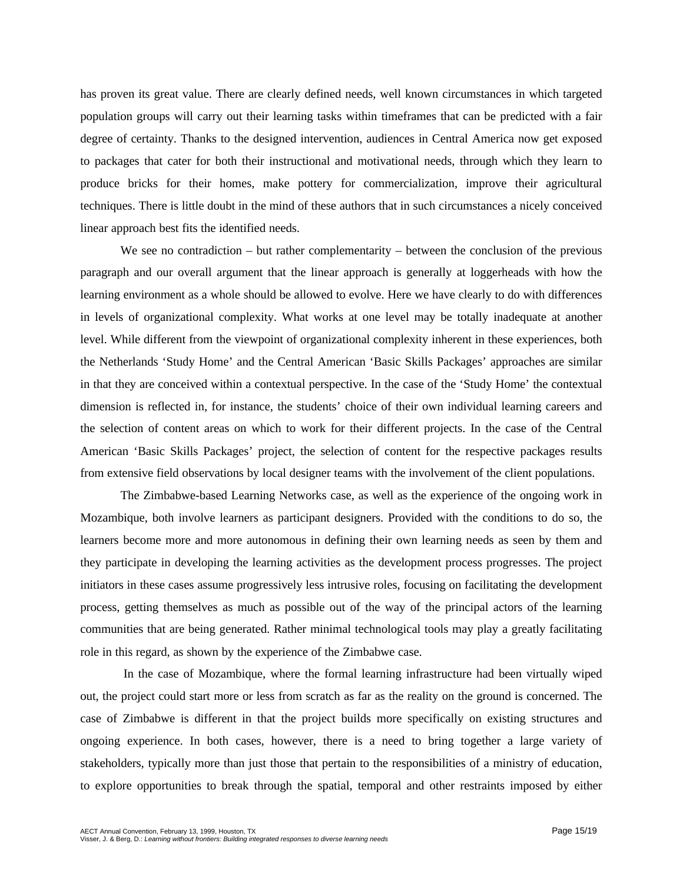has proven its great value. There are clearly defined needs, well known circumstances in which targeted population groups will carry out their learning tasks within timeframes that can be predicted with a fair degree of certainty. Thanks to the designed intervention, audiences in Central America now get exposed to packages that cater for both their instructional and motivational needs, through which they learn to produce bricks for their homes, make pottery for commercialization, improve their agricultural techniques. There is little doubt in the mind of these authors that in such circumstances a nicely conceived linear approach best fits the identified needs.

We see no contradiction – but rather complementarity – between the conclusion of the previous paragraph and our overall argument that the linear approach is generally at loggerheads with how the learning environment as a whole should be allowed to evolve. Here we have clearly to do with differences in levels of organizational complexity. What works at one level may be totally inadequate at another level. While different from the viewpoint of organizational complexity inherent in these experiences, both the Netherlands 'Study Home' and the Central American 'Basic Skills Packages' approaches are similar in that they are conceived within a contextual perspective. In the case of the 'Study Home' the contextual dimension is reflected in, for instance, the students' choice of their own individual learning careers and the selection of content areas on which to work for their different projects. In the case of the Central American 'Basic Skills Packages' project, the selection of content for the respective packages results from extensive field observations by local designer teams with the involvement of the client populations.

The Zimbabwe-based Learning Networks case, as well as the experience of the ongoing work in Mozambique, both involve learners as participant designers. Provided with the conditions to do so, the learners become more and more autonomous in defining their own learning needs as seen by them and they participate in developing the learning activities as the development process progresses. The project initiators in these cases assume progressively less intrusive roles, focusing on facilitating the development process, getting themselves as much as possible out of the way of the principal actors of the learning communities that are being generated. Rather minimal technological tools may play a greatly facilitating role in this regard, as shown by the experience of the Zimbabwe case.

 In the case of Mozambique, where the formal learning infrastructure had been virtually wiped out, the project could start more or less from scratch as far as the reality on the ground is concerned. The case of Zimbabwe is different in that the project builds more specifically on existing structures and ongoing experience. In both cases, however, there is a need to bring together a large variety of stakeholders, typically more than just those that pertain to the responsibilities of a ministry of education, to explore opportunities to break through the spatial, temporal and other restraints imposed by either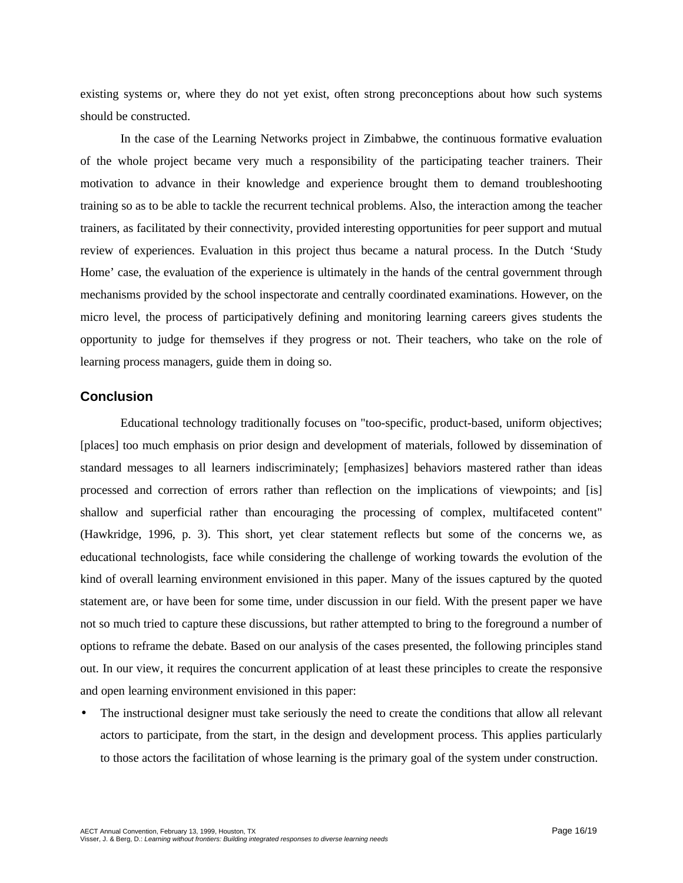existing systems or, where they do not yet exist, often strong preconceptions about how such systems should be constructed.

In the case of the Learning Networks project in Zimbabwe, the continuous formative evaluation of the whole project became very much a responsibility of the participating teacher trainers. Their motivation to advance in their knowledge and experience brought them to demand troubleshooting training so as to be able to tackle the recurrent technical problems. Also, the interaction among the teacher trainers, as facilitated by their connectivity, provided interesting opportunities for peer support and mutual review of experiences. Evaluation in this project thus became a natural process. In the Dutch 'Study Home' case, the evaluation of the experience is ultimately in the hands of the central government through mechanisms provided by the school inspectorate and centrally coordinated examinations. However, on the micro level, the process of participatively defining and monitoring learning careers gives students the opportunity to judge for themselves if they progress or not. Their teachers, who take on the role of learning process managers, guide them in doing so.

# **Conclusion**

Educational technology traditionally focuses on "too-specific, product-based, uniform objectives; [places] too much emphasis on prior design and development of materials, followed by dissemination of standard messages to all learners indiscriminately; [emphasizes] behaviors mastered rather than ideas processed and correction of errors rather than reflection on the implications of viewpoints; and [is] shallow and superficial rather than encouraging the processing of complex, multifaceted content" (Hawkridge, 1996, p. 3). This short, yet clear statement reflects but some of the concerns we, as educational technologists, face while considering the challenge of working towards the evolution of the kind of overall learning environment envisioned in this paper. Many of the issues captured by the quoted statement are, or have been for some time, under discussion in our field. With the present paper we have not so much tried to capture these discussions, but rather attempted to bring to the foreground a number of options to reframe the debate. Based on our analysis of the cases presented, the following principles stand out. In our view, it requires the concurrent application of at least these principles to create the responsive and open learning environment envisioned in this paper:

The instructional designer must take seriously the need to create the conditions that allow all relevant actors to participate, from the start, in the design and development process. This applies particularly to those actors the facilitation of whose learning is the primary goal of the system under construction.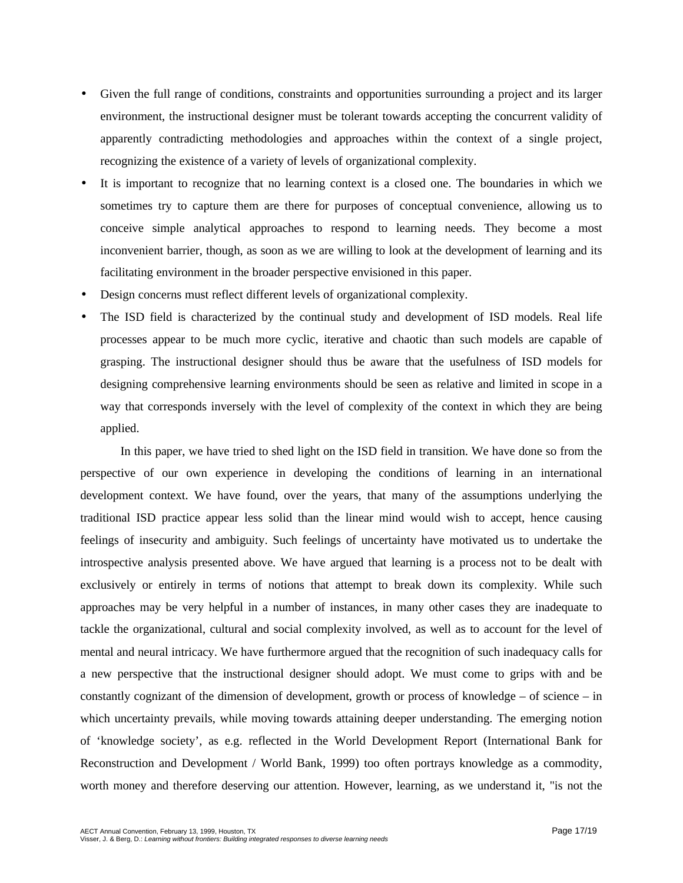- Given the full range of conditions, constraints and opportunities surrounding a project and its larger environment, the instructional designer must be tolerant towards accepting the concurrent validity of apparently contradicting methodologies and approaches within the context of a single project, recognizing the existence of a variety of levels of organizational complexity.
- It is important to recognize that no learning context is a closed one. The boundaries in which we sometimes try to capture them are there for purposes of conceptual convenience, allowing us to conceive simple analytical approaches to respond to learning needs. They become a most inconvenient barrier, though, as soon as we are willing to look at the development of learning and its facilitating environment in the broader perspective envisioned in this paper.
- Design concerns must reflect different levels of organizational complexity.
- The ISD field is characterized by the continual study and development of ISD models. Real life processes appear to be much more cyclic, iterative and chaotic than such models are capable of grasping. The instructional designer should thus be aware that the usefulness of ISD models for designing comprehensive learning environments should be seen as relative and limited in scope in a way that corresponds inversely with the level of complexity of the context in which they are being applied.

In this paper, we have tried to shed light on the ISD field in transition. We have done so from the perspective of our own experience in developing the conditions of learning in an international development context. We have found, over the years, that many of the assumptions underlying the traditional ISD practice appear less solid than the linear mind would wish to accept, hence causing feelings of insecurity and ambiguity. Such feelings of uncertainty have motivated us to undertake the introspective analysis presented above. We have argued that learning is a process not to be dealt with exclusively or entirely in terms of notions that attempt to break down its complexity. While such approaches may be very helpful in a number of instances, in many other cases they are inadequate to tackle the organizational, cultural and social complexity involved, as well as to account for the level of mental and neural intricacy. We have furthermore argued that the recognition of such inadequacy calls for a new perspective that the instructional designer should adopt. We must come to grips with and be constantly cognizant of the dimension of development, growth or process of knowledge – of science – in which uncertainty prevails, while moving towards attaining deeper understanding. The emerging notion of 'knowledge society', as e.g. reflected in the World Development Report (International Bank for Reconstruction and Development / World Bank, 1999) too often portrays knowledge as a commodity, worth money and therefore deserving our attention. However, learning, as we understand it, "is not the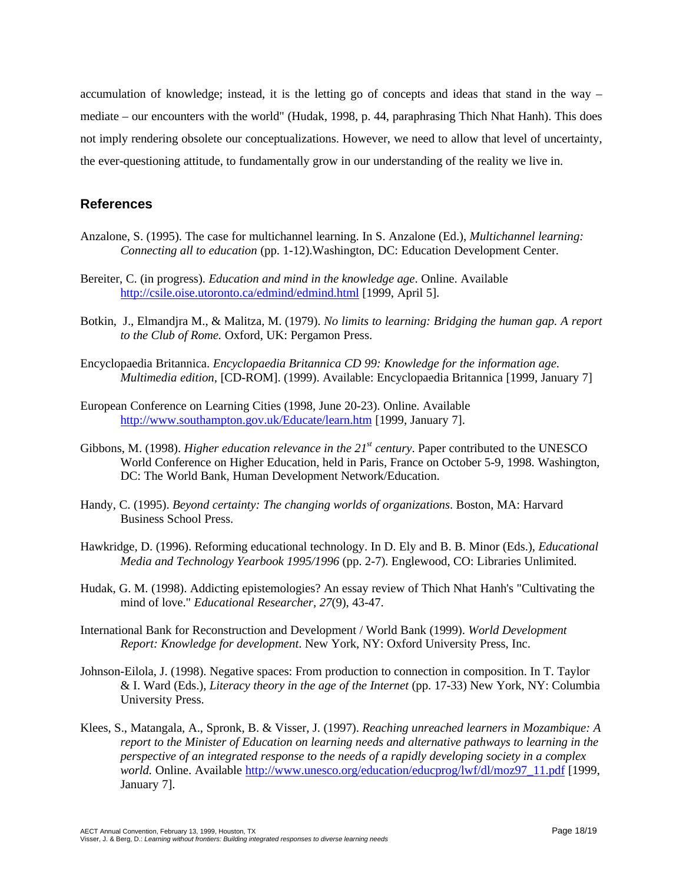accumulation of knowledge; instead, it is the letting go of concepts and ideas that stand in the way – mediate – our encounters with the world" (Hudak, 1998, p. 44, paraphrasing Thich Nhat Hanh). This does not imply rendering obsolete our conceptualizations. However, we need to allow that level of uncertainty, the ever-questioning attitude, to fundamentally grow in our understanding of the reality we live in.

# **References**

- Anzalone, S. (1995). The case for multichannel learning. In S. Anzalone (Ed.), *Multichannel learning: Connecting all to education* (pp. 1-12).Washington, DC: Education Development Center.
- Bereiter, C. (in progress). *Education and mind in the knowledge age*. Online. Available http://csile.oise.utoronto.ca/edmind/edmind.html [1999, April 5].
- Botkin, J., Elmandjra M., & Malitza, M. (1979). *No limits to learning: Bridging the human gap. A report to the Club of Rome.* Oxford, UK: Pergamon Press.
- Encyclopaedia Britannica. *Encyclopaedia Britannica CD 99: Knowledge for the information age*. *Multimedia edition,* [CD-ROM]. (1999). Available: Encyclopaedia Britannica [1999, January 7]
- European Conference on Learning Cities (1998, June 20-23). Online. Available http://www.southampton.gov.uk/Educate/learn.htm [1999, January 7].
- Gibbons, M. (1998). *Higher education relevance in the 21st century*. Paper contributed to the UNESCO World Conference on Higher Education, held in Paris, France on October 5-9, 1998. Washington, DC: The World Bank, Human Development Network/Education.
- Handy, C. (1995). *Beyond certainty: The changing worlds of organizations*. Boston, MA: Harvard Business School Press.
- Hawkridge, D. (1996). Reforming educational technology. In D. Ely and B. B. Minor (Eds.), *Educational Media and Technology Yearbook 1995/1996* (pp. 2-7). Englewood, CO: Libraries Unlimited.
- Hudak, G. M. (1998). Addicting epistemologies? An essay review of Thich Nhat Hanh's "Cultivating the mind of love." *Educational Researcher, 27*(9), 43-47.
- International Bank for Reconstruction and Development / World Bank (1999). *World Development Report: Knowledge for development*. New York, NY: Oxford University Press, Inc.
- Johnson-Eilola, J. (1998). Negative spaces: From production to connection in composition. In T. Taylor & I. Ward (Eds.), *Literacy theory in the age of the Internet* (pp. 17-33) New York, NY: Columbia University Press.
- Klees, S., Matangala, A., Spronk, B. & Visser, J. (1997). *Reaching unreached learners in Mozambique: A report to the Minister of Education on learning needs and alternative pathways to learning in the perspective of an integrated response to the needs of a rapidly developing society in a complex world.* Online. Available http://www.unesco.org/education/educprog/lwf/dl/moz97\_11.pdf [1999, January 7].